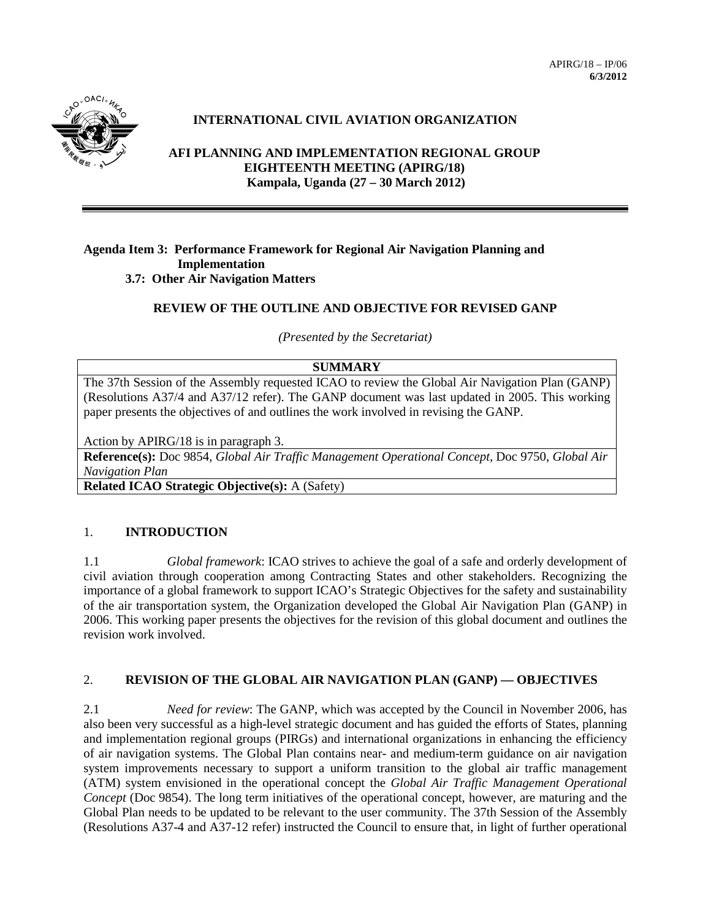

# **INTERNATIONAL CIVIL AVIATION ORGANIZATION**

**AFI PLANNING AND IMPLEMENTATION REGIONAL GROUP EIGHTEENTH MEETING (APIRG/18) Kampala, Uganda (27 – 30 March 2012)**

#### **Agenda Item 3: Performance Framework for Regional Air Navigation Planning and Implementation 3.7: Other Air Navigation Matters**

## **REVIEW OF THE OUTLINE AND OBJECTIVE FOR REVISED GANP**

*(Presented by the Secretariat)*

## **SUMMARY**

The 37th Session of the Assembly requested ICAO to review the Global Air Navigation Plan (GANP) (Resolutions A37/4 and A37/12 refer). The GANP document was last updated in 2005. This working paper presents the objectives of and outlines the work involved in revising the GANP.

Action by APIRG/18 is in paragraph 3.

**Reference(s):** Doc 9854, *Global Air Traffic Management Operational Concept,* Doc 9750, *Global Air Navigation Plan*

**Related ICAO Strategic Objective(s):** A (Safety)

### 1. **INTRODUCTION**

1.1 *Global framework*: ICAO strives to achieve the goal of a safe and orderly development of civil aviation through cooperation among Contracting States and other stakeholders. Recognizing the importance of a global framework to support ICAO's Strategic Objectives for the safety and sustainability of the air transportation system, the Organization developed the Global Air Navigation Plan (GANP) in 2006. This working paper presents the objectives for the revision of this global document and outlines the revision work involved.

### 2. **REVISION OF THE GLOBAL AIR NAVIGATION PLAN (GANP) — OBJECTIVES**

2.1 *Need for review*: The GANP, which was accepted by the Council in November 2006, has also been very successful as a high-level strategic document and has guided the efforts of States, planning and implementation regional groups (PIRGs) and international organizations in enhancing the efficiency of air navigation systems. The Global Plan contains near- and medium-term guidance on air navigation system improvements necessary to support a uniform transition to the global air traffic management (ATM) system envisioned in the operational concept the *Global Air Traffic Management Operational Concept* (Doc 9854). The long term initiatives of the operational concept, however, are maturing and the Global Plan needs to be updated to be relevant to the user community. The 37th Session of the Assembly (Resolutions A37-4 and A37-12 refer) instructed the Council to ensure that, in light of further operational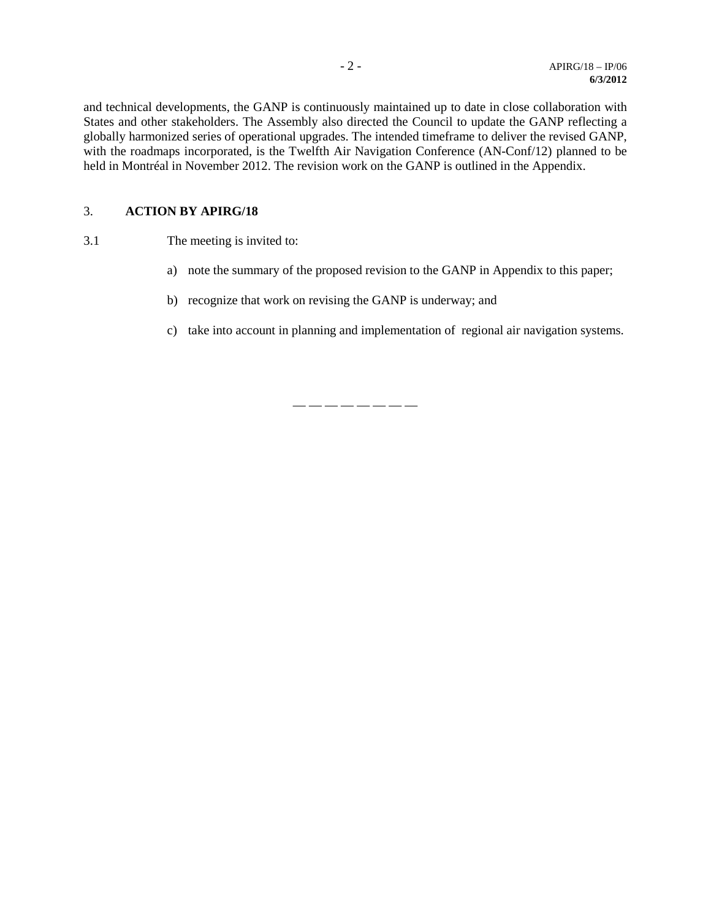and technical developments, the GANP is continuously maintained up to date in close collaboration with States and other stakeholders. The Assembly also directed the Council to update the GANP reflecting a globally harmonized series of operational upgrades. The intended timeframe to deliver the revised GANP, with the roadmaps incorporated, is the Twelfth Air Navigation Conference (AN-Conf/12) planned to be held in Montréal in November 2012. The revision work on the GANP is outlined in the Appendix.

### 3. **ACTION BY APIRG/18**

- 3.1 The meeting is invited to:
	- a) note the summary of the proposed revision to the GANP in Appendix to this paper;
	- b) recognize that work on revising the GANP is underway; and
	- c) take into account in planning and implementation of regional air navigation systems.

— — — — — — — —